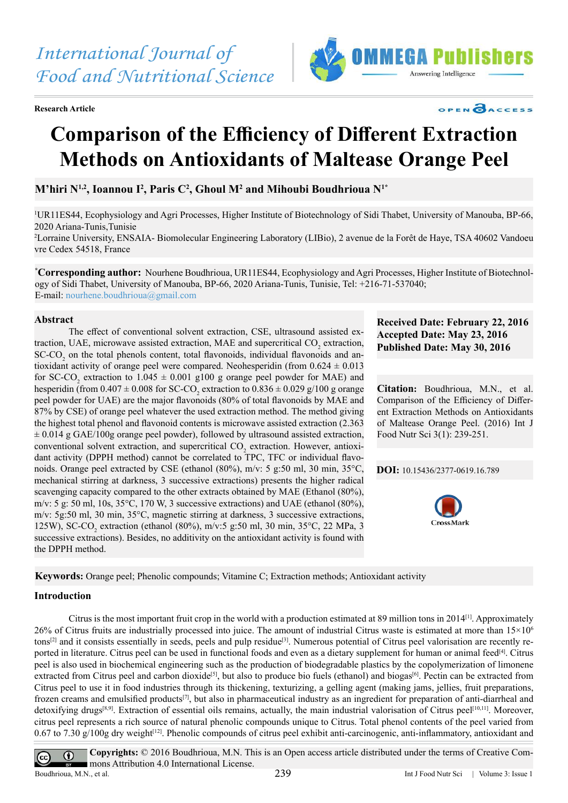**Research Article**



## OPEN CACCESS

# **Comparison of the Efficiency of Different Extraction Methods on Antioxidants of Maltease Orange Peel**

 $\mathbf{M}^\prime$ hiri  $\mathbf{N}^{1,2}$ , Ioannou I<sup>2</sup>, Paris  $\mathbf{C}^2$ , Ghoul  $\mathbf{M}^2$  and Mihoubi Boudhrioua  $\mathbf{N}^{1*}$ 

1 UR11ES44, Ecophysiology and Agri Processes, Higher Institute of Biotechnology of Sidi Thabet, University of Manouba, BP-66, 2020 Ariana-Tunis,Tunisie

2 Lorraine University, ENSAIA- Biomolecular Engineering Laboratory (LIBio), 2 avenue de la Forêt de Haye, TSA 40602 Vandoeu vre Cedex 54518, France

**\* Corresponding author:** Nourhene Boudhrioua, UR11ES44, Ecophysiology and Agri Processes, Higher Institute of Biotechnology of Sidi Thabet, University of Manouba, BP-66, 2020 Ariana-Tunis, Tunisie, Tel: +216-71-537040; E-mail: nourhene.boudhrioua@gmail.com

## **Abstract**

 The effect of conventional solvent extraction, CSE, ultrasound assisted extraction, UAE, microwave assisted extraction, MAE and supercritical CO<sub>2</sub> extraction, SC-CO<sub>2</sub> on the total phenols content, total flavonoids, individual flavonoids and antioxidant activity of orange peel were compared. Neohesperidin (from  $0.624 \pm 0.013$ for SC-CO<sub>2</sub> extraction to  $1.045 \pm 0.001$  g100 g orange peel powder for MAE) and hesperidin (from  $0.407 \pm 0.008$  for SC-CO<sub>2</sub> extraction to  $0.836 \pm 0.029$  g/100 g orange peel powder for UAE) are the major flavonoids (80% of total flavonoids by MAE and 87% by CSE) of orange peel whatever the used extraction method. The method giving the highest total phenol and flavonoid contents is microwave assisted extraction (2.363  $\pm$  0.014 g GAE/100g orange peel powder), followed by ultrasound assisted extraction, conventional solvent extraction, and supercritical CO<sub>2</sub> extraction. However, antioxidant activity (DPPH method) cannot be correlated to TPC, TFC or individual flavonoids. Orange peel extracted by CSE (ethanol (80%), m/v: 5 g:50 ml, 30 min, 35°C, mechanical stirring at darkness, 3 successive extractions) presents the higher radical scavenging capacity compared to the other extracts obtained by MAE (Ethanol (80%), m/v: 5 g: 50 ml, 10s,  $35^{\circ}$ C, 170 W, 3 successive extractions) and UAE (ethanol (80%), m/v: 5g:50 ml, 30 min, 35°C, magnetic stirring at darkness, 3 successive extractions, 125W), SC-CO<sub>2</sub> extraction (ethanol (80%), m/v:5 g:50 ml, 30 min, 35°C, 22 MPa, 3 successive extractions). Besides, no additivity on the antioxidant activity is found with the DPPH method.

**Received Date: February 22, 2016 Accepted Date: May 23, 2016 Published Date: May 30, 2016**

**Citation:** Boudhrioua, M.N., et al. Comparison of the Efficiency of Different Extraction Methods on Antioxidants of Maltease Orange Peel. (2016) Int J Food Nutr Sci 3(1): 239-251.

**DOI:** [10.15436/2377-0619.16.](http://www.dx.doi.org/10.15436/2377-0619.16.789
)789



**Keywords:** Orange peel; Phenolic compounds; Vitamine C; Extraction methods; Antioxidant activity

## **Introduction**

 Citrus is the most important fruit crop in the world with a production estimated at 89 million tons in 2014[\[1\]](#page-10-0). Approximately 26% of Citrus fruits are industrially processed into juice. The amount of industrial Citrus waste is estimated at more than  $15\times10^6$ tons[\[2\]](#page-10-1) and it consists essentially in seeds, peels and pulp residue[\[3\]](#page-10-2). Numerous potential of Citrus peel valorisation are recently reported in literature. Citrus peel can be used in functional foods and even as a dietary supplement for human or animal feed[\[4\].](#page-10-3) Citrus peel is also used in biochemical engineering such as the production of biodegradable plastics by the copolymerization of limonene extracted from Citrus peel and carbon dioxide<sup>[5]</sup>, but also to produce bio fuels (ethanol) and biogas<sup>[\[6\]](#page-10-5)</sup>. Pectin can be extracted from Citrus peel to use it in food industries through its thickening, texturizing, a gelling agent (making jams, jellies, fruit preparations, frozen creams and emulsified products<sup>[7]</sup>, but also in pharmaceutical industry as an ingredient for preparation of anti-diarrheal and detoxifying drugs<sup>[8,9]</sup>. Extraction of essential oils remains, actually, the main industrial valorisation of Citrus peel<sup>[\[10,11\]](#page-10-8)</sup>. Moreover, citrus peel represents a rich source of natural phenolic compounds unique to Citrus. Total phenol contents of the peel varied from 0.67 to 7.30  $g/100g$  dry weight<sup>[\[12\]](#page-10-9)</sup>. Phenolic compounds of citrus peel exhibit anti-carcinogenic, anti-inflammatory, antioxidant and

**Copyrights:** © 2016 Boudhrioua, M.N. This is an Open access article distributed under the terms of Creative Com- $\odot$  $\overline{cc}$ mons Attribution 4.0 International License. Boudhrioua, M.N., et al. 239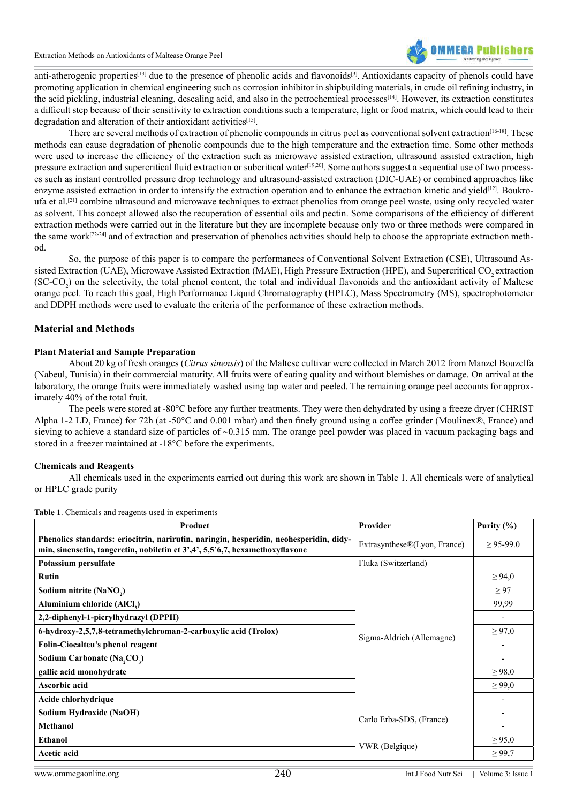

anti-atherogenic properties<sup>[\[13\]](#page-10-10)</sup> due to the presence of phenolic acids and flavonoids<sup>[\[3\]](#page-10-2)</sup>. Antioxidants capacity of phenols could have promoting application in chemical engineering such as corrosion inhibitor in shipbuilding materials, in crude oil refining industry, in the acid pickling, industrial cleaning, descaling acid, and also in the petrochemical processes<sup>[\[14\]](#page-10-11)</sup>. However, its extraction constitutes a difficult step because of their sensitivity to extraction conditions such a temperature, light or food matrix, which could lead to their degradation and alteration of their antioxidant activities<sup>[15]</sup>.

There are several methods of extraction of phenolic compounds in citrus peel as conventional solvent extraction<sup>[\[16-18\]](#page-10-13)</sup>. These methods can cause degradation of phenolic compounds due to the high temperature and the extraction time. Some other methods were used to increase the efficiency of the extraction such as microwave assisted extraction, ultrasound assisted extraction, high pressure extraction and supercritical fluid extraction or subcritical water<sup>[19,20]</sup>. Some authors suggest a sequential use of two processes such as instant controlled pressure drop technology and ultrasound-assisted extraction (DIC-UAE) or combined approaches like enzyme assisted extraction in order to intensify the extraction operation and to enhance the extraction kinetic and yield<sup>[\[12\]](#page-10-9)</sup>. Boukroufa et al[.\[21\]](#page-10-15) combine ultrasound and microwave techniques to extract phenolics from orange peel waste, using only recycled water as solvent. This concept allowed also the recuperation of essential oils and pectin. Some comparisons of the efficiency of different extraction methods were carried out in the literature but they are incomplete because only two or three methods were compared in the same work<sup>[\[22-24\]](#page-10-16)</sup> and of extraction and preservation of phenolics activities should help to choose the appropriate extraction method.

 So, the purpose of this paper is to compare the performances of Conventional Solvent Extraction (CSE), Ultrasound Assisted Extraction (UAE), Microwave Assisted Extraction (MAE), High Pressure Extraction (HPE), and Supercritical CO<sub>2</sub> extraction  $(SC$ - $CO_2$ ) on the selectivity, the total phenol content, the total and individual flavonoids and the antioxidant activity of Maltese orange peel. To reach this goal, High Performance Liquid Chromatography (HPLC), Mass Spectrometry (MS), spectrophotometer and DDPH methods were used to evaluate the criteria of the performance of these extraction methods.

## **Material and Methods**

## **Plant Material and Sample Preparation**

 About 20 kg of fresh oranges (*Citrus sinensis*) of the Maltese cultivar were collected in March 2012 from Manzel Bouzelfa (Nabeul, Tunisia) in their commercial maturity. All fruits were of eating quality and without blemishes or damage. On arrival at the laboratory, the orange fruits were immediately washed using tap water and peeled. The remaining orange peel accounts for approximately 40% of the total fruit.

 The peels were stored at -80°C before any further treatments. They were then dehydrated by using a freeze dryer (CHRIST Alpha 1-2 LD, France) for 72h (at -50°C and 0.001 mbar) and then finely ground using a coffee grinder (Moulinex®, France) and sieving to achieve a standard size of particles of ~0.315 mm. The orange peel powder was placed in vacuum packaging bags and stored in a freezer maintained at -18°C before the experiments.

## **Chemicals and Reagents**

 All chemicals used in the experiments carried out during this work are shown in Table 1. All chemicals were of analytical or HPLC grade purity

| Product                                                                                                                                                                | Provider                     | Purity $(\% )$               |
|------------------------------------------------------------------------------------------------------------------------------------------------------------------------|------------------------------|------------------------------|
| Phenolics standards: eriocitrin, narirutin, naringin, hesperidin, neohesperidin, didy-<br>min, sinensetin, tangeretin, nobiletin et 3',4', 5,5'6,7, hexamethoxyflavone | Extrasynthese®(Lyon, France) | $\geq$ 95-99.0               |
| Potassium persulfate                                                                                                                                                   | Fluka (Switzerland)          |                              |
| <b>Rutin</b>                                                                                                                                                           |                              | $\geq 94,0$                  |
| Sodium nitrite (NaNO <sub>2</sub> )                                                                                                                                    |                              | $\geq 97$                    |
| Aluminium chloride (AlCl <sub>3</sub> )                                                                                                                                |                              | 99,99                        |
| 2,2-diphenyl-1-picrylhydrazyl (DPPH)                                                                                                                                   |                              |                              |
| 6-hydroxy-2,5,7,8-tetramethylchroman-2-carboxylic acid (Trolox)                                                                                                        | Sigma-Aldrich (Allemagne)    | $\geq 97,0$                  |
| Folin-Ciocalteu's phenol reagent                                                                                                                                       |                              |                              |
| Sodium Carbonate (Na,CO <sub>3</sub> )                                                                                                                                 |                              |                              |
| gallic acid monohydrate                                                                                                                                                |                              | $\geq 98.0$                  |
| Ascorbic acid                                                                                                                                                          |                              | $\geq 99,0$                  |
| Acide chlorhydrique                                                                                                                                                    |                              | $\qquad \qquad \blacksquare$ |
| Sodium Hydroxide (NaOH)                                                                                                                                                | Carlo Erba-SDS, (France)     |                              |
| <b>Methanol</b>                                                                                                                                                        |                              |                              |
| <b>Ethanol</b>                                                                                                                                                         | VWR (Belgique)               | $\geq 95,0$                  |
| Acetic acid                                                                                                                                                            |                              | $\geq 99,7$                  |

**Table 1**. Chemicals and reagents used in experiments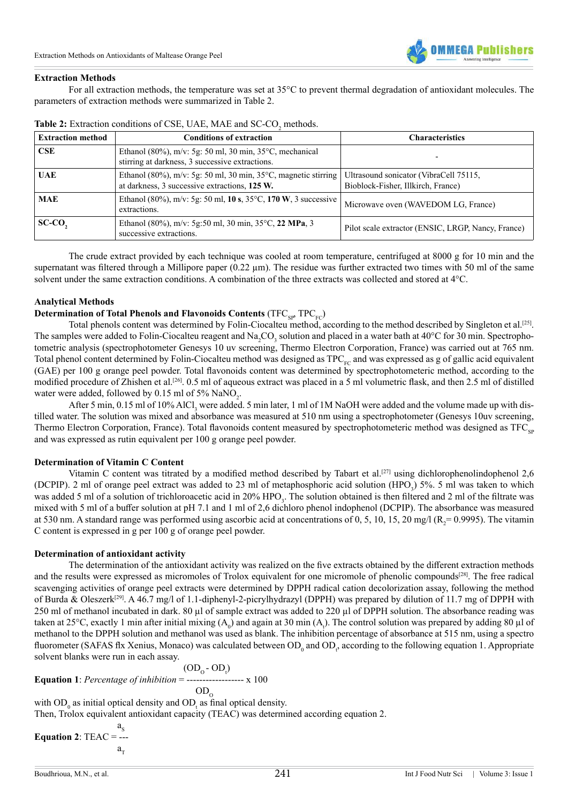

#### **Extraction Methods**

 For all extraction methods, the temperature was set at 35°C to prevent thermal degradation of antioxidant molecules. The parameters of extraction methods were summarized in Table 2.

| <b>Extraction method</b> | <b>Conditions of extraction</b>                                                                                           | <b>Characteristics</b>                                                       |
|--------------------------|---------------------------------------------------------------------------------------------------------------------------|------------------------------------------------------------------------------|
| CSE                      | Ethanol (80%), m/v: 5g: 50 ml, 30 min, $35^{\circ}$ C, mechanical<br>stirring at darkness, 3 successive extractions.      |                                                                              |
| <b>UAE</b>               | Ethanol (80%), m/v: 5g: 50 ml, 30 min, 35 $\degree$ C, magnetic stirring<br>at darkness, 3 successive extractions, 125 W. | Ultrasound sonicator (VibraCell 75115,<br>Bioblock-Fisher, Illkirch, France) |
| <b>MAE</b>               | Ethanol (80%), m/v: 5g: 50 ml, 10 s, 35 °C, 170 W, 3 successive<br>extractions.                                           | Microwave oven (WAVEDOM LG, France)                                          |
| SC-CO,                   | Ethanol (80%), m/v: 5g:50 ml, 30 min, 35 $\degree$ C, 22 MPa, 3<br>successive extractions.                                | Pilot scale extractor (ENSIC, LRGP, Nancy, France)                           |

Table 2: Extraction conditions of CSE, UAE, MAE and SC-CO<sub>2</sub> methods.

 The crude extract provided by each technique was cooled at room temperature, centrifuged at 8000 g for 10 min and the supernatant was filtered through a Millipore paper  $(0.22 \mu m)$ . The residue was further extracted two times with 50 ml of the same solvent under the same extraction conditions. A combination of the three extracts was collected and stored at 4°C.

#### **Analytical Methods**

## **Determination of Total Phenols and Flavonoids Contents (TFC<sub>SP</sub>, TPC<sub>FC</sub>)**

Total phenols content was determined by Folin-Ciocalteu method, according to the method described by Singleton et al.<sup>[\[25\]](#page-10-17)</sup>. The samples were added to Folin-Ciocalteu reagent and Na<sub>2</sub>CO<sub>3</sub> solution and placed in a water bath at 40°C for 30 min. Spectrophotometric analysis (spectrophotometer Genesys 10 uv screening, Thermo Electron Corporation, France) was carried out at 765 nm. Total phenol content determined by Folin-Ciocalteu method was designed as  $TPC_{FC}$  and was expressed as g of gallic acid equivalent (GAE) per 100 g orange peel powder. Total flavonoids content was determined by spectrophotometeric method, according to the modified procedure of Zhishen et al.<sup>[\[26\]](#page-10-18)</sup>. 0.5 ml of aqueous extract was placed in a 5 ml volumetric flask, and then 2.5 ml of distilled water were added, followed by  $0.15$  ml of 5%  $\text{NaNO}_2$ .

After 5 min, 0.15 ml of 10% AlCl, were added. 5 min later, 1 ml of 1M NaOH were added and the volume made up with distilled water. The solution was mixed and absorbance was measured at 510 nm using a spectrophotometer (Genesys 10uv screening, Thermo Electron Corporation, France). Total flavonoids content measured by spectrophotometeric method was designed as  $TFC_{sp}$ and was expressed as rutin equivalent per 100 g orange peel powder.

#### **Determination of Vitamin C Content**

Vitamin C content was titrated by a modified method described by Tabart et al.<sup>[\[27\]](#page-10-19)</sup> using dichlorophenolindophenol 2,6 (DCPIP). 2 ml of orange peel extract was added to 23 ml of metaphosphoric acid solution (HPO<sub>3</sub>) 5%. 5 ml was taken to which was added 5 ml of a solution of trichloroacetic acid in 20% HPO<sub>3</sub>. The solution obtained is then filtered and 2 ml of the filtrate was mixed with 5 ml of a buffer solution at pH 7.1 and 1 ml of 2,6 dichloro phenol indophenol (DCPIP). The absorbance was measured at 530 nm. A standard range was performed using ascorbic acid at concentrations of 0, 5, 10, 15, 20 mg/l ( $R_2$ =0.9995). The vitamin C content is expressed in g per 100 g of orange peel powder.

### **Determination of antioxidant activity**

 The determination of the antioxidant activity was realized on the five extracts obtained by the different extraction methods and the results were expressed as micromoles of Trolox equivalent for one micromole of phenolic compounds[\[28\]](#page-10-20). The free radical scavenging activities of orange peel extracts were determined by DPPH radical cation decolorization assay, following the method of Burda & Oleszerk<sup>[29]</sup>. A 46.7 mg/l of 1.1-diphenyl-2-picrylhydrazyl (DPPH) was prepared by dilution of 11.7 mg of DPPH with 250 ml of methanol incubated in dark. 80 µl of sample extract was added to 220 µl of DPPH solution. The absorbance reading was taken at 25°C, exactly 1 min after initial mixing (A<sub>0</sub>) and again at 30 min (A<sub>1</sub>). The control solution was prepared by adding 80 µl of methanol to the DPPH solution and methanol was used as blank. The inhibition percentage of absorbance at 515 nm, using a spectro fluorometer (SAFAS flx Xenius, Monaco) was calculated between  $OD_0$  and  $OD_t$ , according to the following equation 1. Appropriate solvent blanks were run in each assay.

$$
(\text{OD}_o - \text{OD}_i)
$$
  
Equation 1: *Percentage of inhibition* = 200  
OD<sub>o</sub>  
OD<sub>o</sub>

with  $OD_0$  as initial optical density and  $OD_1$  as final optical density.

Then, Trolox equivalent antioxidant capacity (TEAC) was determined according equation 2.

 $a_{\rm s}$ **Equation 2**: TEAC = --  $a_{\rm T}$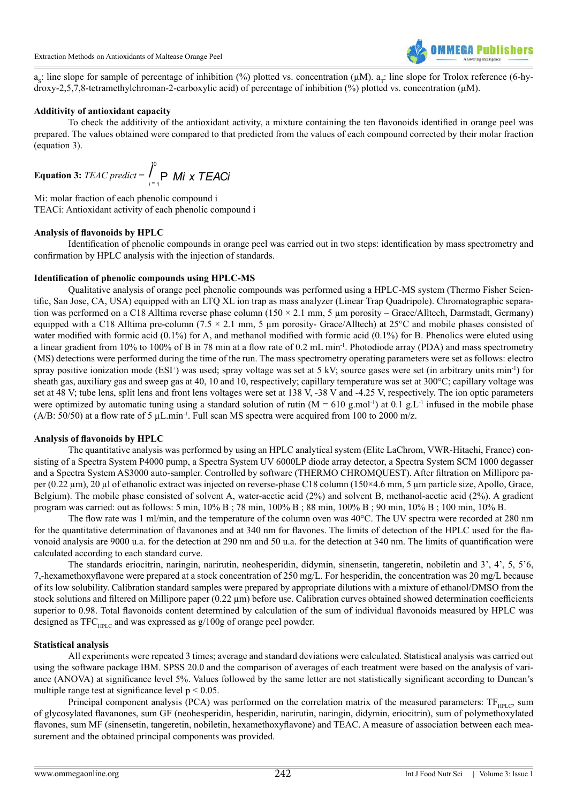

 $a_s$ : line slope for sample of percentage of inhibition (%) plotted vs. concentration ( $\mu$ M).  $a_r$ : line slope for Trolox reference (6-hydroxy-2,5,7,8-tetramethylchroman-2-carboxylic acid) of percentage of inhibition (%) plotted vs. concentration (µM).

#### **Additivity of antioxidant capacity**

 To check the additivity of the antioxidant activity, a mixture containing the ten flavonoids identified in orange peel was prepared. The values obtained were compared to that predicted from the values of each compound corrected by their molar fraction (equation 3).

**Equation 3:** *TEAC predict* = 
$$
\int_{i=1}^{0} \mathbf{P} \ M i \ \mathbf{x} \ \mathbf{TEAC} i
$$

Mi: molar fraction of each phenolic compound i TEACi: Antioxidant activity of each phenolic compound i

#### **Analysis of flavonoids by HPLC**

 Identification of phenolic compounds in orange peel was carried out in two steps: identification by mass spectrometry and confirmation by HPLC analysis with the injection of standards.

#### **Identification of phenolic compounds using HPLC-MS**

 Qualitative analysis of orange peel phenolic compounds was performed using a HPLC-MS system (Thermo Fisher Scientific, San Jose, CA, USA) equipped with an LTQ XL ion trap as mass analyzer (Linear Trap Quadripole). Chromatographic separation was performed on a C18 Alltima reverse phase column  $(150 \times 2.1 \text{ mm}, 5 \text{ µm}$  porosity – Grace/Alltech, Darmstadt, Germany) equipped with a C18 Alltima pre-column (7.5  $\times$  2.1 mm, 5 µm porosity- Grace/Alltech) at 25 $\degree$ C and mobile phases consisted of water modified with formic acid (0.1%) for A, and methanol modified with formic acid (0.1%) for B. Phenolics were eluted using a linear gradient from 10% to 100% of B in 78 min at a flow rate of 0.2 mL min-1. Photodiode array (PDA) and mass spectrometry (MS) detections were performed during the time of the run. The mass spectrometry operating parameters were set as follows: electro spray positive ionization mode (ESI<sup>+</sup>) was used; spray voltage was set at 5 kV; source gases were set (in arbitrary units min<sup>-1</sup>) for sheath gas, auxiliary gas and sweep gas at 40, 10 and 10, respectively; capillary temperature was set at 300°C; capillary voltage was set at 48 V; tube lens, split lens and front lens voltages were set at 138 V, -38 V and -4.25 V, respectively. The ion optic parameters were optimized by automatic tuning using a standard solution of rutin  $(M = 610 \text{ g.mol}^{-1})$  at 0.1 g.L<sup>-1</sup> infused in the mobile phase (A/B: 50/50) at a flow rate of 5  $\mu$ L.min<sup>-1</sup>. Full scan MS spectra were acquired from 100 to 2000 m/z.

#### **Analysis of flavonoids by HPLC**

 The quantitative analysis was performed by using an HPLC analytical system (Elite LaChrom, VWR-Hitachi, France) consisting of a Spectra System P4000 pump, a Spectra System UV 6000LP diode array detector, a Spectra System SCM 1000 degasser and a Spectra System AS3000 auto-sampler. Controlled by software (THERMO CHROMQUEST). After filtration on Millipore paper (0.22 µm), 20 µl of ethanolic extract was injected on reverse-phase C18 column (150×4.6 mm, 5 µm particle size, Apollo, Grace, Belgium). The mobile phase consisted of solvent A, water-acetic acid (2%) and solvent B, methanol-acetic acid (2%). A gradient program was carried: out as follows: 5 min, 10% B ; 78 min, 100% B ; 88 min, 100% B ; 90 min, 10% B ; 100 min, 10% B.

 The flow rate was 1 ml/min, and the temperature of the column oven was 40°C. The UV spectra were recorded at 280 nm for the quantitative determination of flavanones and at 340 nm for flavones. The limits of detection of the HPLC used for the flavonoid analysis are 9000 u.a. for the detection at 290 nm and 50 u.a. for the detection at 340 nm. The limits of quantification were calculated according to each standard curve.

 The standards eriocitrin, naringin, narirutin, neohesperidin, didymin, sinensetin, tangeretin, nobiletin and 3', 4', 5, 5'6, 7,-hexamethoxyflavone were prepared at a stock concentration of 250 mg/L. For hesperidin, the concentration was 20 mg/L because of its low solubility. Calibration standard samples were prepared by appropriate dilutions with a mixture of ethanol/DMSO from the stock solutions and filtered on Millipore paper (0.22 µm) before use. Calibration curves obtained showed determination coefficients superior to 0.98. Total flavonoids content determined by calculation of the sum of individual flavonoids measured by HPLC was designed as  $TFC_{\text{unif}}$  and was expressed as  $g/100g$  of orange peel powder.

#### **Statistical analysis**

 All experiments were repeated 3 times; average and standard deviations were calculated. Statistical analysis was carried out using the software package IBM. SPSS 20.0 and the comparison of averages of each treatment were based on the analysis of variance (ANOVA) at significance level 5%. Values followed by the same letter are not statistically significant according to Duncan's multiple range test at significance level  $p < 0.05$ .

Principal component analysis (PCA) was performed on the correlation matrix of the measured parameters:  $TF_{\text{ppf},c}$ , sum of glycosylated flavanones, sum GF (neohesperidin, hesperidin, narirutin, naringin, didymin, eriocitrin), sum of polymethoxylated flavones, sum MF (sinensetin, tangeretin, nobiletin, hexamethoxyflavone) and TEAC. A measure of association between each measurement and the obtained principal components was provided.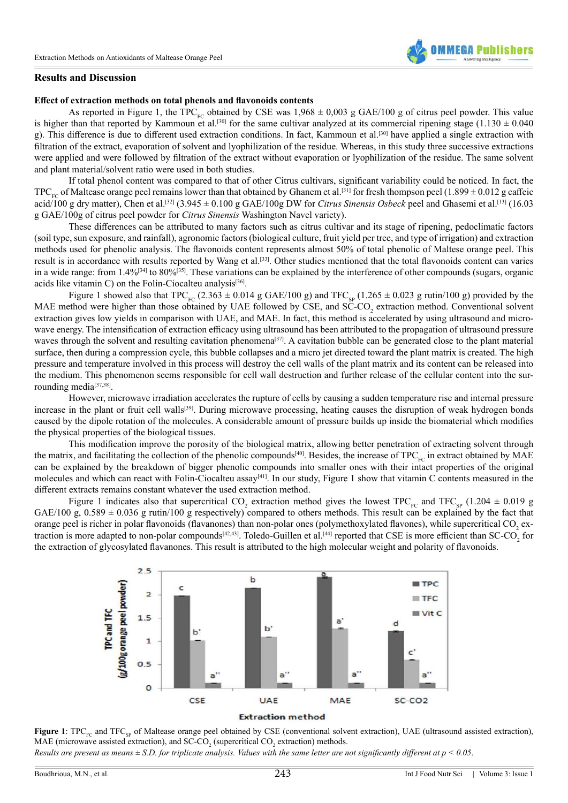

#### **Results and Discussion**

#### **Effect of extraction methods on total phenols and flavonoids contents**

As reported in Figure 1, the TPC<sub>FC</sub> obtained by CSE was  $1,968 \pm 0,003$  g GAE/100 g of citrus peel powder. This value is higher than that reported by Kammoun et al.<sup>[\[30\]](#page-11-1)</sup> for the same cultivar analyzed at its commercial ripening stage (1.130  $\pm$  0.040 g). This difference is due to different used extraction conditions. In fact, Kammoun et al.[\[30\]](#page-11-1) have applied a single extraction with filtration of the extract, evaporation of solvent and lyophilization of the residue. Whereas, in this study three successive extractions were applied and were followed by filtration of the extract without evaporation or lyophilization of the residue. The same solvent and plant material/solvent ratio were used in both studies.

 If total phenol content was compared to that of other Citrus cultivars, significant variability could be noticed. In fact, the TPC<sub>EC</sub> of Maltease orange peel remains lower than that obtained by Ghanem et al.<sup>[\[31\]](#page-11-2)</sup> for fresh thompson peel (1.899  $\pm$  0.012 g caffeic acid/100 g dry matter), Chen et al.<sup>[\[32\]](#page-11-3)</sup> (3.945  $\pm$  0.100 g GAE/100g DW for *Citrus Sinensis Osbeck* peel and Ghasemi et al.<sup>[\[13\]](#page-10-10)</sup> (16.03 g GAE/100g of citrus peel powder for *Citrus Sinensis* Washington Navel variety).

 These differences can be attributed to many factors such as citrus cultivar and its stage of ripening, pedoclimatic factors (soil type, sun exposure, and rainfall), agronomic factors (biological culture, fruit yield per tree, and type of irrigation) and extraction methods used for phenolic analysis. The flavonoids content represents almost 50% of total phenolic of Maltese orange peel. This result is in accordance with results reported by Wang et al.[\[33\]](#page-11-4). Other studies mentioned that the total flavonoids content can varies in a wide range: from 1.4%<sup>[\[34\]](#page-11-5)</sup> to 80%<sup>[35]</sup>. These variations can be explained by the interference of other compounds (sugars, organic acids like vitamin C) on the Folin-Ciocalteu analysis<sup>[36]</sup>.

Figure 1 showed also that TPC<sub>FC</sub> (2.363  $\pm$  0.014 g GAE/100 g) and TFC<sub>SP</sub> (1.265  $\pm$  0.023 g rutin/100 g) provided by the MAE method were higher than those obtained by UAE followed by CSE, and SC-CO<sub>2</sub> extraction method. Conventional solvent extraction gives low yields in comparison with UAE, and MAE. In fact, this method is accelerated by using ultrasound and microwave energy. The intensification of extraction efficacy using ultrasound has been attributed to the propagation of ultrasound pressure waves through the solvent and resulting cavitation phenomena<sup>[37]</sup>. A cavitation bubble can be generated close to the plant material surface, then during a compression cycle, this bubble collapses and a micro jet directed toward the plant matrix is created. The high pressure and temperature involved in this process will destroy the cell walls of the plant matrix and its content can be released into the medium. This phenomenon seems responsible for cell wall destruction and further release of the cellular content into the sur-rounding media<sup>[\[37,38\]](#page-11-8)</sup>.

 However, microwave irradiation accelerates the rupture of cells by causing a sudden temperature rise and internal pressure increase in the plant or fruit cell walls<sup>[39]</sup>. During microwave processing, heating causes the disruption of weak hydrogen bonds caused by the dipole rotation of the molecules. A considerable amount of pressure builds up inside the biomaterial which modifies the physical properties of the biological tissues.

 This modification improve the porosity of the biological matrix, allowing better penetration of extracting solvent through the matrix, and facilitating the collection of the phenolic compounds<sup>[\[40\]](#page-11-10)</sup>. Besides, the increase of  $TPC_{FC}$  in extract obtained by MAE can be explained by the breakdown of bigger phenolic compounds into smaller ones with their intact properties of the original molecules and which can react with Folin-Ciocalteu assay<sup>[\[41\]](#page-11-11)</sup>. In our study, Figure 1 show that vitamin C contents measured in the different extracts remains constant whatever the used extraction method.

Figure 1 indicates also that supercritical CO<sub>2</sub> extraction method gives the lowest TPC<sub>FC</sub> and TFC<sub>SP</sub> (1.204  $\pm$  0.019 g GAE/100 g,  $0.589 \pm 0.036$  g rutin/100 g respectively) compared to others methods. This result can be explained by the fact that orange peel is richer in polar flavonoids (flavanones) than non-polar ones (polymethoxylated flavones), while supercritical CO<sub>2</sub> ex-traction is more adapted to non-polar compounds<sup>[42,43]</sup>. Toledo-Guillen et al.<sup>[\[44\]](#page-11-13)</sup> reported that CSE is more efficient than SC-CO<sub>2</sub> for the extraction of glycosylated flavanones. This result is attributed to the high molecular weight and polarity of flavonoids.



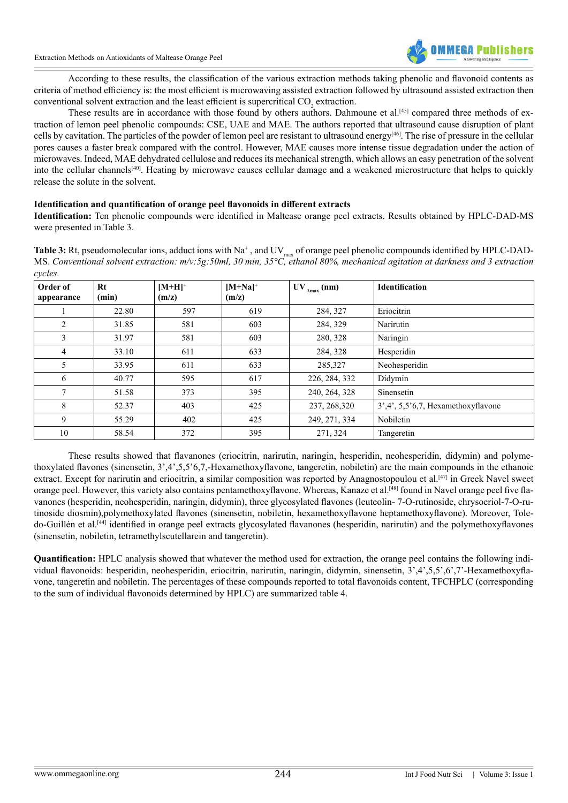

 According to these results, the classification of the various extraction methods taking phenolic and flavonoid contents as criteria of method efficiency is: the most efficient is microwaving assisted extraction followed by ultrasound assisted extraction then conventional solvent extraction and the least efficient is supercritical CO<sub>2</sub> extraction.

These results are in accordance with those found by others authors. Dahmoune et al.<sup>[\[45\]](#page-11-14)</sup> compared three methods of extraction of lemon peel phenolic compounds: CSE, UAE and MAE. The authors reported that ultrasound cause disruption of plant cells by cavitation. The particles of the powder of lemon peel are resistant to ultrasound energy[\[46\]](#page-11-15). The rise of pressure in the cellular pores causes a faster break compared with the control. However, MAE causes more intense tissue degradation under the action of microwaves. Indeed, MAE dehydrated cellulose and reduces its mechanical strength, which allows an easy penetration of the solvent into the cellular channels<sup>[\[40\]](#page-11-10)</sup>. Heating by microwave causes cellular damage and a weakened microstructure that helps to quickly release the solute in the solvent.

## **Identification and quantification of orange peel flavonoids in different extracts**

**Identification:** Ten phenolic compounds were identified in Maltease orange peel extracts. Results obtained by HPLC-DAD-MS were presented in Table 3. 

Table 3: Rt, pseudomolecular ions, adduct ions with Na<sup>+</sup>, and UV<sub>max</sub> of orange peel phenolic compounds identified by HPLC-DAD-MS. *Conventional solvent extraction: m/v:5g:50ml, 30 min, 35°C, ethanol 80%, mechanical agitation at darkness and 3 extraction cycles.*

| Order of<br>appearance | Rt<br>(min) | $[M+H]^+$<br>(m/z) | $[M+Na]$ <sup>+</sup><br>(m/z) | $UV_{\lambda max}(nm)$ | <b>Identification</b>                 |
|------------------------|-------------|--------------------|--------------------------------|------------------------|---------------------------------------|
|                        | 22.80       | 597                | 619                            | 284, 327               | Eriocitrin                            |
| $\overline{2}$         | 31.85       | 581                | 603                            | 284, 329               | Narirutin                             |
| 3                      | 31.97       | 581                | 603                            | 280, 328               | Naringin                              |
| 4                      | 33.10       | 611                | 633                            | 284, 328               | Hesperidin                            |
| 5                      | 33.95       | 611                | 633                            | 285,327                | Neohesperidin                         |
| 6                      | 40.77       | 595                | 617                            | 226, 284, 332          | Didymin                               |
| $\tau$                 | 51.58       | 373                | 395                            | 240, 264, 328          | Sinensetin                            |
| 8                      | 52.37       | 403                | 425                            | 237, 268, 320          | $3',4', 5,5'6,7$ , Hexamethoxyflavone |
| 9                      | 55.29       | 402                | 425                            | 249, 271, 334          | Nobiletin                             |
| 10                     | 58.54       | 372                | 395                            | 271, 324               | Tangeretin                            |

 These results showed that flavanones (eriocitrin, narirutin, naringin, hesperidin, neohesperidin, didymin) and polymethoxylated flavones (sinensetin, 3',4',5,5'6,7,-Hexamethoxyflavone, tangeretin, nobiletin) are the main compounds in the ethanoic extract. Except for narirutin and eriocitrin, a similar composition was reported by Anagnostopoulou et al.<sup>[\[47\]](#page-11-16)</sup> in Greek Navel sweet orange peel. However, this variety also contains pentamethoxyflavone. Whereas, Kanaze et al.[\[48\]](#page-11-17) found in Navel orange peel five flavanones (hesperidin, neohesperidin, naringin, didymin), three glycosylated flavones (leuteolin- 7-O-rutinoside, chrysoeriol-7-O-rutinoside diosmin),polymethoxylated flavones (sinensetin, nobiletin, hexamethoxyflavone heptamethoxyflavone). Moreover, Toledo-Guillén et al.[\[44\]](#page-11-13) identified in orange peel extracts glycosylated flavanones (hesperidin, narirutin) and the polymethoxyflavones (sinensetin, nobiletin, tetramethylscutellarein and tangeretin).

**Quantification:** HPLC analysis showed that whatever the method used for extraction, the orange peel contains the following individual flavonoids: hesperidin, neohesperidin, eriocitrin, narirutin, naringin, didymin, sinensetin, 3',4',5,5',6',7'-Hexamethoxyflavone, tangeretin and nobiletin. The percentages of these compounds reported to total flavonoids content, TFCHPLC (corresponding to the sum of individual flavonoids determined by HPLC) are summarized table 4.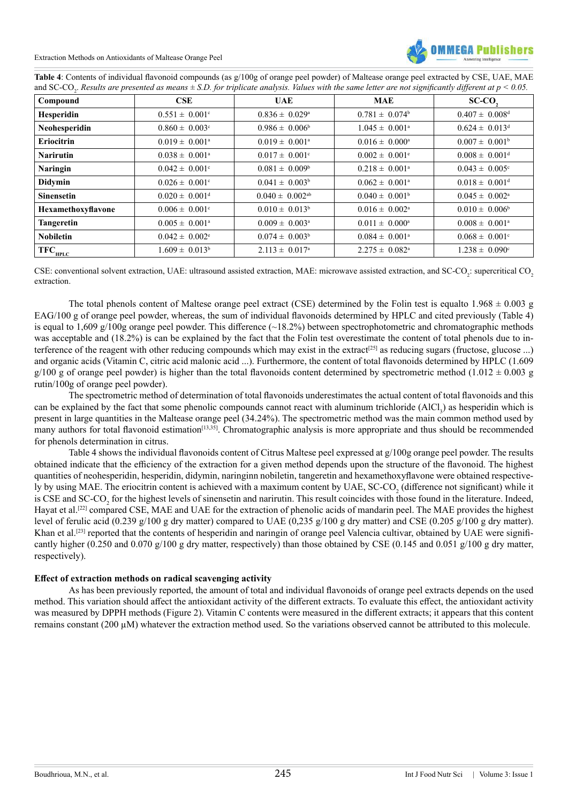Extraction Methods on Antioxidants of Maltease Orange Peel



| Table 4: Contents of individual flavonoid compounds (as g/100g of orange peel powder) of Maltease orange peel extracted by CSE, UAE, MAE                                |
|-------------------------------------------------------------------------------------------------------------------------------------------------------------------------|
| and SC-CO <sub>2</sub> . Results are presented as means $\pm$ S.D. for triplicate analysis. Values with the same letter are not significantly different at $p < 0.05$ . |

| Compound           | CSE                            | <b>UAE</b>                      | <b>MAE</b>                     | $SC-CO$ ,                      |
|--------------------|--------------------------------|---------------------------------|--------------------------------|--------------------------------|
| Hesperidin         | $0.551 \pm 0.001$ °            | $0.836 \pm 0.029^{\text{a}}$    | $0.781 \pm 0.074^b$            | $0.407 \pm 0.008$ <sup>d</sup> |
| Neohesperidin      | $0.860 \pm 0.003$ <sup>c</sup> | $0.986 \pm 0.006^b$             | $1.045 \pm 0.001^{\text{a}}$   | $0.624 \pm 0.013^d$            |
| <b>Eriocitrin</b>  | $0.019 \pm 0.001^{\text{a}}$   | $0.019 \pm 0.001^{\text{a}}$    | $0.016 \pm 0.000^{\text{a}}$   | $0.007 \pm 0.001^b$            |
| <b>Narirutin</b>   | $0.038 \pm 0.001^{\circ}$      | $0.017 \pm 0.001$ <sup>c</sup>  | $0.002 \pm 0.001$ <sup>e</sup> | $0.008 \pm 0.001$ <sup>d</sup> |
| <b>Naringin</b>    | $0.042 \pm 0.001$ °            | $0.081 \pm 0.009^b$             | $0.218 \pm 0.001^{\text{a}}$   | $0.043 \pm 0.005$ <sup>c</sup> |
| <b>Didymin</b>     | $0.026 \pm 0.001$ <sup>c</sup> | $0.041 \pm 0.003^b$             | $0.062 \pm 0.001^{\text{a}}$   | $0.018 \pm 0.001$ <sup>d</sup> |
| <b>Sinensetin</b>  | $0.020 \pm 0.001$ <sup>d</sup> | $0.040 \pm 0.002$ <sup>ab</sup> | $0.040 \pm 0.001^b$            | $0.045 \pm 0.002^{\text{a}}$   |
| Hexamethoxyflavone | $0.006 \pm 0.001$ <sup>c</sup> | $0.010 \pm 0.013^b$             | $0.016 \pm 0.002^{\text{a}}$   | $0.010 \pm 0.006^b$            |
| <b>Tangeretin</b>  | $0.005 \pm 0.001^{\text{a}}$   | $0.009 \pm 0.003^{\text{a}}$    | $0.011 \pm 0.000^a$            | $0.008 \pm 0.001^{\circ}$      |
| <b>Nobiletin</b>   | $0.042 \pm 0.002$ <sup>c</sup> | $0.074 \pm 0.003^b$             | $0.084 \pm 0.001^{\circ}$      | $0.068 \pm 0.001$ <sup>c</sup> |
| $TFC_{HPLC}$       | $1.609 \pm 0.013^b$            | $2.113 \pm 0.017$ <sup>a</sup>  | $2.275 \pm 0.082^{\text{a}}$   | $1.238 \pm 0.090^{\circ}$      |

CSE: conventional solvent extraction, UAE: ultrasound assisted extraction, MAE: microwave assisted extraction, and SC-CO<sub>2</sub>: supercritical CO<sub>2</sub> extraction.

The total phenols content of Maltese orange peel extract (CSE) determined by the Folin test is equalto  $1.968 \pm 0.003$  g EAG/100 g of orange peel powder, whereas, the sum of individual flavonoids determined by HPLC and cited previously (Table 4) is equal to 1,609 g/100g orange peel powder. This difference  $(\sim 18.2\%)$  between spectrophotometric and chromatographic methods was acceptable and (18.2%) is can be explained by the fact that the Folin test overestimate the content of total phenols due to interference of the reagent with other reducing compounds which may exist in the extract<sup>[25]</sup> as reducing sugars (fructose, glucose ...) and organic acids (Vitamin C, citric acid malonic acid ...). Furthermore, the content of total flavonoids determined by HPLC (1.609 g/100 g of orange peel powder) is higher than the total flavonoids content determined by spectrometric method  $(1.012 \pm 0.003$  g rutin/100g of orange peel powder).

 The spectrometric method of determination of total flavonoids underestimates the actual content of total flavonoids and this can be explained by the fact that some phenolic compounds cannot react with aluminum trichloride  $(AICl<sub>3</sub>)$  as hesperidin which is present in large quantities in the Maltease orange peel (34.24%). The spectrometric method was the main common method used by many authors for total flavonoid estimation<sup>[13,35]</sup>. Chromatographic analysis is more appropriate and thus should be recommended for phenols determination in citrus.

 Table 4 shows the individual flavonoids content of Citrus Maltese peel expressed at g/100g orange peel powder. The results obtained indicate that the efficiency of the extraction for a given method depends upon the structure of the flavonoid. The highest quantities of neohesperidin, hesperidin, didymin, naringinn nobiletin, tangeretin and hexamethoxyflavone were obtained respectively by using MAE. The eriocitrin content is achieved with a maximum content by UAE, SC-CO<sub>2</sub> (difference not significant) while it is CSE and SC-CO<sub>2</sub> for the highest levels of sinensetin and narirutin. This result coincides with those found in the literature. Indeed, Hayat et al.<sup>[\[22\]](#page-10-16)</sup> compared CSE, MAE and UAE for the extraction of phenolic acids of mandarin peel. The MAE provides the highest level of ferulic acid (0.239 g/100 g dry matter) compared to UAE (0,235 g/100 g dry matter) and CSE (0.205 g/100 g dry matter). Khan et al.<sup>[\[23\]](#page-10-21)</sup> reported that the contents of hesperidin and naringin of orange peel Valencia cultivar, obtained by UAE were significantly higher (0.250 and 0.070 g/100 g dry matter, respectively) than those obtained by CSE (0.145 and 0.051 g/100 g dry matter, respectively).

## **Effect of extraction methods on radical scavenging activity**

 As has been previously reported, the amount of total and individual flavonoids of orange peel extracts depends on the used method. This variation should affect the antioxidant activity of the different extracts. To evaluate this effect, the antioxidant activity was measured by DPPH methods (Figure 2). Vitamin C contents were measured in the different extracts; it appears that this content remains constant (200 µM) whatever the extraction method used. So the variations observed cannot be attributed to this molecule.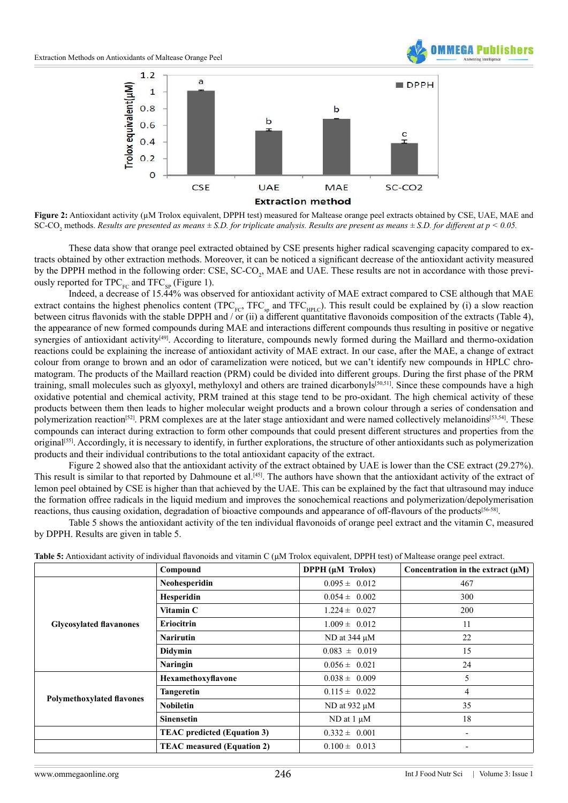



**Figure 2:** Antioxidant activity (µM Trolox equivalent, DPPH test) measured for Maltease orange peel extracts obtained by CSE, UAE, MAE and SC-CO<sub>2</sub> methods. *Results are presented as means*  $\pm$  S.D. for triplicate analysis. Results are present as means  $\pm$  S.D. for different at p < 0.05.

 These data show that orange peel extracted obtained by CSE presents higher radical scavenging capacity compared to extracts obtained by other extraction methods. Moreover, it can be noticed a significant decrease of the antioxidant activity measured by the DPPH method in the following order: CSE, SC-CO<sub>2</sub>, MAE and UAE. These results are not in accordance with those previously reported for TPC<sub>FC</sub> and TFC<sub>SP</sub> (Figure 1).

 Indeed, a decrease of 15.44% was observed for antioxidant activity of MAE extract compared to CSE although that MAE extract contains the highest phenolics content (TPC<sub>FC</sub>, TFC<sub>sp</sub> and TFC<sub>HPLC</sub>). This result could be explained by (i) a slow reaction between citrus flavonids with the stable DPPH and / or (ii) a different quantitative flavonoids composition of the extracts (Table 4), the appearance of new formed compounds during MAE and interactions different compounds thus resulting in positive or negative synergies of antioxidant activity<sup>[\[49\]](#page-11-18)</sup>. According to literature, compounds newly formed during the Maillard and thermo-oxidation reactions could be explaining the increase of antioxidant activity of MAE extract. In our case, after the MAE, a change of extract colour from orange to brown and an odor of caramelization were noticed, but we can't identify new compounds in HPLC chromatogram. The products of the Maillard reaction (PRM) could be divided into different groups. During the first phase of the PRM training, small molecules such as glyoxyl, methyloxyl and others are trained dicarbonyl[s\[50,51\]](#page-11-19). Since these compounds have a high oxidative potential and chemical activity, PRM trained at this stage tend to be pro-oxidant. The high chemical activity of these products between them then leads to higher molecular weight products and a brown colour through a series of condensation and polymerization reaction<sup>[52]</sup>. PRM complexes are at the later stage antioxidant and were named collectively melanoidins<sup>[53,54]</sup>. These compounds can interact during extraction to form other compounds that could present different structures and properties from the origina[l\[55\].](#page-11-22) Accordingly, it is necessary to identify, in further explorations, the structure of other antioxidants such as polymerization products and their individual contributions to the total antioxidant capacity of the extract.

 Figure 2 showed also that the antioxidant activity of the extract obtained by UAE is lower than the CSE extract (29.27%). This result is similar to that reported by Dahmoune et al.<sup>[45]</sup>. The authors have shown that the antioxidant activity of the extract of lemon peel obtained by CSE is higher than that achieved by the UAE. This can be explained by the fact that ultrasound may induce the formation offree radicals in the liquid medium and improves the sonochemical reactions and polymerization/depolymerisation reactions, thus causing oxidation, degradation of bioactive compounds and appearance of off-flavours of the products[\[56-58\]](#page-11-23).

 Table 5 shows the antioxidant activity of the ten individual flavonoids of orange peel extract and the vitamin C, measured by DPPH. Results are given in table 5.

|                                  | Compound                           | DPPH $(\mu M$ Trolox) | Concentration in the extract $(\mu M)$ |
|----------------------------------|------------------------------------|-----------------------|----------------------------------------|
|                                  | Neohesperidin                      | $0.095 \pm 0.012$     | 467                                    |
|                                  | Hesperidin                         | $0.054 \pm 0.002$     | 300                                    |
|                                  | Vitamin C                          | $1.224 \pm 0.027$     | 200                                    |
| <b>Glycosylated flavanones</b>   | Eriocitrin                         | $1.009 \pm 0.012$     | 11                                     |
|                                  | <b>Narirutin</b>                   | ND at $344 \mu M$     | 22                                     |
|                                  | Didymin                            | $0.083 \pm 0.019$     | 15                                     |
|                                  | Naringin                           | $0.056 \pm 0.021$     | 24                                     |
|                                  | Hexamethoxyflavone                 | $0.038 \pm 0.009$     | 5                                      |
| <b>Polymethoxylated flavones</b> | <b>Tangeretin</b>                  | $0.115 \pm 0.022$     | 4                                      |
|                                  | Nobiletin                          | ND at 932 $\mu$ M     | 35                                     |
|                                  | <b>Sinensetin</b>                  | $ND$ at $1 \mu M$     | 18                                     |
|                                  | <b>TEAC</b> predicted (Equation 3) | $0.332 \pm 0.001$     | -                                      |
|                                  | <b>TEAC</b> measured (Equation 2)  | $0.100 \pm 0.013$     | -                                      |

**Table 5:** Antioxidant activity of individual flavonoids and vitamin C (μM Trolox equivalent, DPPH test) of Maltease orange peel extract.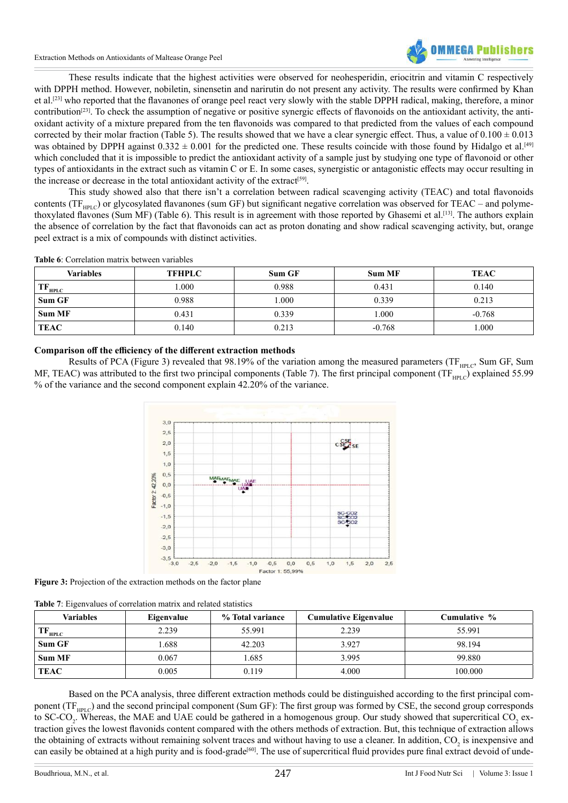Extraction Methods on Antioxidants of Maltease Orange Peel



 These results indicate that the highest activities were observed for neohesperidin, eriocitrin and vitamin C respectively with DPPH method. However, nobiletin, sinensetin and narirutin do not present any activity. The results were confirmed by Khan et al[.\[23\]](#page-10-21) who reported that the flavanones of orange peel react very slowly with the stable DPPH radical, making, therefore, a minor contribution[\[23\]](#page-10-21). To check the assumption of negative or positive synergic effects of flavonoids on the antioxidant activity, the antioxidant activity of a mixture prepared from the ten flavonoids was compared to that predicted from the values of each compound corrected by their molar fraction (Table 5). The results showed that we have a clear synergic effect. Thus, a value of  $0.100 \pm 0.013$ was obtained by DPPH against  $0.332 \pm 0.001$  for the predicted one. These results coincide with those found by Hidalgo et al.<sup>[\[49\]](#page-11-18)</sup> which concluded that it is impossible to predict the antioxidant activity of a sample just by studying one type of flavonoid or other types of antioxidants in the extract such as vitamin C or E. In some cases, synergistic or antagonistic effects may occur resulting in the increase or decrease in the total antioxidant activity of the extract<sup>[\[59\]](#page-12-0)</sup>.

 This study showed also that there isn't a correlation between radical scavenging activity (TEAC) and total flavonoids contents (TF<sub>HPLC</sub>) or glycosylated flavanones (sum GF) but significant negative correlation was observed for TEAC – and polyme-thoxylated flavones (Sum MF) (Table 6). This result is in agreement with those reported by Ghasemi et al.<sup>[\[13\]](#page-10-10)</sup>. The authors explain the absence of correlation by the fact that flavonoids can act as proton donating and show radical scavenging activity, but, orange peel extract is a mix of compounds with distinct activities.

| <b>Table 6:</b> Correlation matrix between variables |  |  |
|------------------------------------------------------|--|--|
|                                                      |  |  |

| Variables     | <b>TFHPLC</b> | Sum GF | <b>Sum MF</b> | <b>TEAC</b> |
|---------------|---------------|--------|---------------|-------------|
| $TF_{HPLC}$   | 000.1         | 0.988  | 0.431         | 0.140       |
| Sum GF        | 0.988         | .000   | 0.339         | 0.213       |
| <b>Sum MF</b> | 0.431         | 0.339  | 1.000         | $-0.768$    |
| <b>TEAC</b>   | 0.140         | 0.213  | $-0.768$      | .000        |

## **Comparison off the efficiency of the different extraction methods**

Results of PCA (Figure 3) revealed that 98.19% of the variation among the measured parameters (TF<sub>HPLC</sub>, Sum GF, Sum MF, TEAC) was attributed to the first two principal components (Table 7). The first principal component (TF $_{HPLC}$ ) explained 55.99 % of the variance and the second component explain 42.20% of the variance.



**Figure 3:** Projection of the extraction methods on the factor plane

| Table 7: Eigenvalues of correlation matrix and related statistics |  |  |  |  |  |  |  |  |  |  |
|-------------------------------------------------------------------|--|--|--|--|--|--|--|--|--|--|
|-------------------------------------------------------------------|--|--|--|--|--|--|--|--|--|--|

| Variables      | Eigenvalue | % Total variance | <b>Cumulative Eigenvalue</b> | Cumulative % |
|----------------|------------|------------------|------------------------------|--------------|
| $T_{\rm HPLC}$ | 2.239      | 55.991           | 2.239                        | 55.991       |
| Sum GF         | .688       | 42.203           | 3.927                        | 98.194       |
| <b>Sum MF</b>  | 0.067      | .685             | 3.995                        | 99.880       |
| TEAC           | 0.005      | 0.119            | 4.000                        | 100.000      |

 Based on the PCA analysis, three different extraction methods could be distinguished according to the first principal component ( $TF<sub>HPLC</sub>$ ) and the second principal component (Sum GF): The first group was formed by CSE, the second group corresponds to SC-CO<sub>2</sub>. Whereas, the MAE and UAE could be gathered in a homogenous group. Our study showed that supercritical CO<sub>2</sub> extraction gives the lowest flavonids content compared with the others methods of extraction. But, this technique of extraction allows the obtaining of extracts without remaining solvent traces and without having to use a cleaner. In addition, CO<sub>2</sub> is inexpensive and can easily be obtained at a high purity and is food-grade<sup>[\[60\]](#page-12-1)</sup>. The use of supercritical fluid provides pure final extract devoid of unde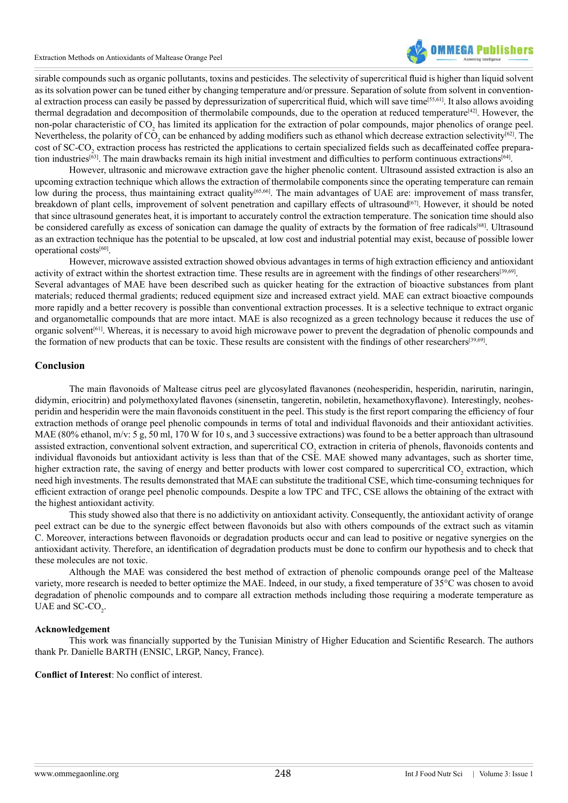Extraction Methods on Antioxidants of Maltease Orange Peel



sirable compounds such as organic pollutants, toxins and pesticides. The selectivity of supercritical fluid is higher than liquid solvent as its solvation power can be tuned either by changing temperature and/or pressure. Separation of solute from solvent in conventional extraction process can easily be passed by depressurization of supercritical fluid, which will save tim[e\[55,61\]](#page-11-22). It also allows avoiding thermal degradation and decomposition of thermolabile compounds, due to the operation at reduced temperature<sup>[\[42\]](#page-11-12)</sup>. However, the non-polar characteristic of CO<sub>2</sub> has limited its application for the extraction of polar compounds, major phenolics of orange peel. Nevertheless, the polarity of  $\tilde{CO}$ , can be enhanced by adding modifiers such as ethanol which decrease extraction selectivity<sup>[\[62\]](#page-12-2)</sup>. The cost of SC-CO<sub>2</sub> extraction process has restricted the applications to certain specialized fields such as decaffeinated coffee prepara-tion industries<sup>[63]</sup>. The main drawbacks remain its high initial investment and difficulties to perform continuous extractions<sup>[\[64\]](#page-12-4)</sup>.

 However, ultrasonic and microwave extraction gave the higher phenolic content. Ultrasound assisted extraction is also an upcoming extraction technique which allows the extraction of thermolabile components since the operating temperature can remain low during the process, thus maintaining extract quality<sup>[65,66]</sup>. The main advantages of UAE are: improvement of mass transfer, breakdown of plant cells, improvement of solvent penetration and capillary effects of ultrasound<sup>[67]</sup>. However, it should be noted that since ultrasound generates heat, it is important to accurately control the extraction temperature. The sonication time should also be considered carefully as excess of sonication can damage the quality of extracts by the formation of free radicals<sup>[\[68\]](#page-12-7)</sup>. Ultrasound as an extraction technique has the potential to be upscaled, at low cost and industrial potential may exist, because of possible lower operational cost[s\[60\].](#page-12-1)

 However, microwave assisted extraction showed obvious advantages in terms of high extraction efficiency and antioxidant activity of extract within the shortest extraction time. These results are in agreement with the findings of other researchers[\[39,69\]](#page-11-9).

Several advantages of MAE have been described such as quicker heating for the extraction of bioactive substances from plant materials; reduced thermal gradients; reduced equipment size and increased extract yield. MAE can extract bioactive compounds more rapidly and a better recovery is possible than conventional extraction processes. It is a selective technique to extract organic and organometallic compounds that are more intact. MAE is also recognized as a green technology because it reduces the use of organic solvent<sup>[\[61\]](#page-12-8)</sup>. Whereas, it is necessary to avoid high microwave power to prevent the degradation of phenolic compounds and the formation of new products that can be toxic. These results are consistent with the findings of other researchers<sup>[\[39,69\]](#page-11-9)</sup>.

## **Conclusion**

 The main flavonoids of Maltease citrus peel are glycosylated flavanones (neohesperidin, hesperidin, narirutin, naringin, didymin, eriocitrin) and polymethoxylated flavones (sinensetin, tangeretin, nobiletin, hexamethoxyflavone). Interestingly, neohesperidin and hesperidin were the main flavonoids constituent in the peel. This study is the first report comparing the efficiency of four extraction methods of orange peel phenolic compounds in terms of total and individual flavonoids and their antioxidant activities. MAE (80% ethanol, m/v: 5 g, 50 ml, 170 W for 10 s, and 3 successive extractions) was found to be a better approach than ultrasound assisted extraction, conventional solvent extraction, and supercritical CO<sub>2</sub> extraction in criteria of phenols, flavonoids contents and individual flavonoids but antioxidant activity is less than that of the CSE. MAE showed many advantages, such as shorter time, higher extraction rate, the saving of energy and better products with lower cost compared to supercritical CO<sub>2</sub> extraction, which need high investments. The results demonstrated that MAE can substitute the traditional CSE, which time-consuming techniques for efficient extraction of orange peel phenolic compounds. Despite a low TPC and TFC, CSE allows the obtaining of the extract with the highest antioxidant activity.

 This study showed also that there is no addictivity on antioxidant activity. Consequently, the antioxidant activity of orange peel extract can be due to the synergic effect between flavonoids but also with others compounds of the extract such as vitamin C. Moreover, interactions between flavonoids or degradation products occur and can lead to positive or negative synergies on the antioxidant activity. Therefore, an identification of degradation products must be done to confirm our hypothesis and to check that these molecules are not toxic.

 Although the MAE was considered the best method of extraction of phenolic compounds orange peel of the Maltease variety, more research is needed to better optimize the MAE. Indeed, in our study, a fixed temperature of 35°C was chosen to avoid degradation of phenolic compounds and to compare all extraction methods including those requiring a moderate temperature as UAE and  $SC$ - $CO_2$ .

### **Acknowledgement**

 This work was financially supported by the Tunisian Ministry of Higher Education and Scientific Research. The authors thank Pr. Danielle BARTH (ENSIC, LRGP, Nancy, France).

**Conflict of Interest**: No conflict of interest.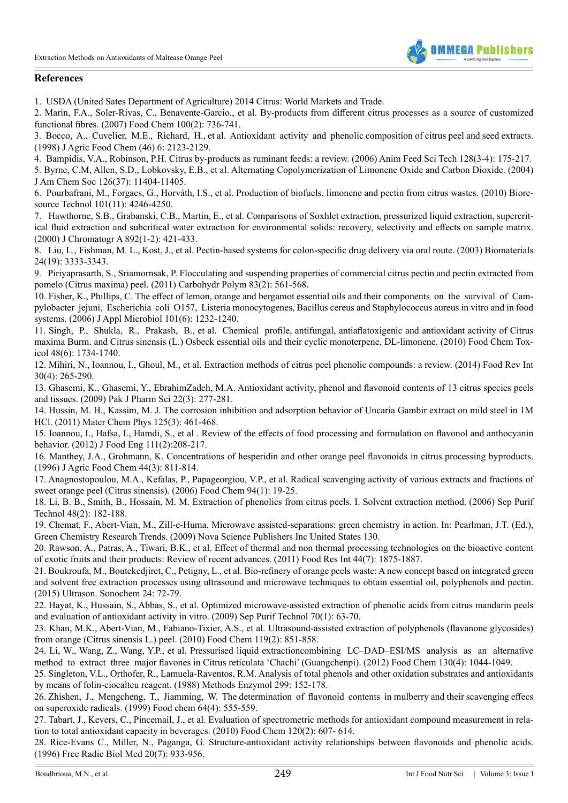

## **References**

<span id="page-10-0"></span>1. USDA (United Sates Department of [Agriculture\)](http://www.fas.usda.gov/data/citrus-world-markets-and-trade) 2014 Citrus: World Markets and Trade.

<span id="page-10-1"></span>2. Marin, F.A., Soler-Rivas, C., [Benavente-Garcio.,](http://www.sciencedirect.com/science/article/pii/S0308814605009386) et al. By-products from different citrus processes as a source of customized [functional](http://www.sciencedirect.com/science/article/pii/S0308814605009386) fibres. (2007) Food Chem 100(2): 736-741.

<span id="page-10-2"></span>3. [Bocco, A., Cuvelier, M.E., Richard, H.,](http://pubs.acs.org/doi/abs/10.1021/jf9709562) et al. Antioxidant activity and phenolic composition of citrus peel and seed extracts. (1998) J Agric Food Chem (46) 6: [2123-2129.](http://pubs.acs.org/doi/abs/10.1021/jf9709562)

<span id="page-10-3"></span>4. Bampidis, V.A., Robinson, P.H. Citrus [by-products](http://www.sciencedirect.com/science/article/pii/S0377840105004293) as ruminant feeds: a review. (2006) Anim Feed Sci Tech 128(3-4): 175-217.

<span id="page-10-4"></span>5. Byrne, C.M, Allen, S.D., Lobkovsky, E.B., et al. Alternating [Copolymerization](http://www.ncbi.nlm.nih.gov/pubmed/15366863) of Limonene Oxide and Carbon Dioxide. (2004) J Am Chem Soc 126(37): [11404-11405.](http://www.ncbi.nlm.nih.gov/pubmed/15366863)

<span id="page-10-5"></span>6. [Pourbafrani,](http://www.ncbi.nlm.nih.gov/pubmed/20149643) M., Forgacs, G., Horváth, I.S., et al. Production of biofuels, limonene and pectin from citrus wastes. (2010) Bioresource Technol 101(11): [4246-4250.](http://www.ncbi.nlm.nih.gov/pubmed/20149643)

<span id="page-10-6"></span>7. Hawthorne, S.B., Grabanski, C.B., Martin, E., et al. [Comparisons](http://www.ncbi.nlm.nih.gov/pubmed/11045502) of Soxhlet extraction, pressurized liquid extraction, supercritical fluid extraction and subcritical water extraction for [environmental](http://www.ncbi.nlm.nih.gov/pubmed/11045502) solids: recovery, selectivity and effects on sample matrix. (2000) J [Chromatogr](http://www.ncbi.nlm.nih.gov/pubmed/11045502) A 892(1-2): 421-433.

<span id="page-10-7"></span>8. Liu, L., Fishman, M. L., Kost, J., et al. Pectin-based systems for [colon-specific](http://www.ncbi.nlm.nih.gov/pubmed/12763460) drug delivery via oral route. (2003) Biomaterials 24(19): [3333-3343.](http://www.ncbi.nlm.nih.gov/pubmed/12763460)

9. [Piriyaprasarth,](http://www.sciencedirect.com/science/article/pii/S0144861710006387) S., Sriamornsak, P. Flocculating and suspending properties of commercial citrus pectin and pectin extracted from pomelo (Citrus maxima) peel. (2011) [Carbohydr](http://www.sciencedirect.com/science/article/pii/S0144861710006387) Polym 83(2): 561-568.

<span id="page-10-8"></span>10. Fisher, K., Phillips, C. The effect of lemon, orange and bergamot essential oils and their [components on the survival of Cam](http://www.ncbi.nlm.nih.gov/pubmed/17105553)[pylobacter jejuni, Escherichia coli O157, Listeria](http://www.ncbi.nlm.nih.gov/pubmed/17105553) monocytogenes, Bacillus cereus and Staphylococcus aureus in vitro and in food systems. (2006) J Appl Microbiol 101(6): [1232-1240.](http://www.ncbi.nlm.nih.gov/pubmed/17105553)

11. [Singh, P., Shukla, R., Prakash, B.,](http://www.ncbi.nlm.nih.gov/pubmed/20385194) et al. Chemical profile, antifungal, antiaflatoxigenic and antioxidant activity of Citrus maxima Burm. and Citrus sinensis (L.) Osbeck essential oils and their cyclic monoterpene, [DL-limonene.](http://www.ncbi.nlm.nih.gov/pubmed/20385194) (2010) Food Chem Toxicol 48(6): [1734-1740.](http://www.ncbi.nlm.nih.gov/pubmed/20385194)

<span id="page-10-9"></span>12. Mihiri, N., Ioannou, I., Ghoul, M., et al. Extraction methods of citrus peel phenolic [compounds:](http://www.tandfonline.com/doi/abs/10.1080/87559129.2014.924139) a review. (2014) Food Rev Int 30(4): [265-290.](http://www.tandfonline.com/doi/abs/10.1080/87559129.2014.924139)

<span id="page-10-10"></span>13. Ghasemi, K., Ghasemi, Y., [EbrahimZadeh,](http://www.ncbi.nlm.nih.gov/pubmed/19553174) M.A. Antioxidant activity, phenol and flavonoid contents of 13 citrus species peels and tissues. (2009) Pak J Pharm Sci 22(3): [277-281.](http://www.ncbi.nlm.nih.gov/pubmed/19553174)

<span id="page-10-11"></span>14. Hussin, M. H., Kassim, M. J. The corrosion inhibition and [adsorption](http://www.sciencedirect.com/science/article/pii/S0254058410008631) behavior of Uncaria Gambir extract on mild steel in 1M HCl. (2011) Mater Chem Phys 125(3): [461-468.](http://www.sciencedirect.com/science/article/pii/S0254058410008631)

<span id="page-10-12"></span>15. Ioannou, I., Hafsa, I., Hamdi, S., et al . Review of the effects of food processing and formulation on flavonol and [anthocyanin](http://www.sciencedirect.com/science/article/pii/S0260877412000763) behavior. (2012) J Food Eng [111\(2\):208-217.](http://www.sciencedirect.com/science/article/pii/S0260877412000763)

<span id="page-10-13"></span>16. Manthey, J.A., Grohmann, K. [Concentrations](http://pubs.acs.org/doi/abs/10.1021/jf950572g) of hesperidin and other orange peel flavonoids in citrus processing byproducts. (1996) J Agric Food Chem 44(3): [811-814.](http://pubs.acs.org/doi/abs/10.1021/jf950572g)

17. [Anagnostopoulou,](http://www.sciencedirect.com/science/article/pii/S0308814604008040) M.A., Kefalas, P., Papageorgiou, V.P., et al. Radical scavenging activity of various extracts and fractions of sweet orange peel (Citrus [sinensis\).](http://www.sciencedirect.com/science/article/pii/S0308814604008040) (2006) Food Chem 94(1): 19-25.

18. Li, B. B., Smith, B., Hossain, M. M. [Extraction](http://www.sciencedirect.com/science/article/pii/S1383586605002145) of phenolics from citrus peels. I. Solvent extraction method. (2006) Sep Purif Technol 48(2): [182-188.](http://www.sciencedirect.com/science/article/pii/S1383586605002145)

<span id="page-10-14"></span>19. Chemat, F., Abert-Vian, M., Zill-e-Huma. Microwave assisted-separations: green chemistry in action. In: Pearlman, J.T. (Ed.), Green Chemistry Research Trends. (2009) Nova Science Publishers Inc United States 130.

20. Rawson, A., Patras, A., Tiwari, B.K., et al. Effect of thermal and non thermal processing [technologies](http://www.sciencedirect.com/science/article/pii/S0963996911001554) on the bioactive content of exotic fruits and their products: Review of recent advances. (2011) Food Res Int 44(7): [1875-1887.](http://www.sciencedirect.com/science/article/pii/S0963996911001554)

<span id="page-10-15"></span>21. Boukroufa, M., [Boutekedjiret,](http://www.ncbi.nlm.nih.gov/pubmed/25435398) C., Petigny, L., et al. Bio-refinery of orange peels waste: A new concept based on integrated green and solvent free extraction processes using ultrasound and microwave techniques to obtain essential oil, [polyphenols](http://www.ncbi.nlm.nih.gov/pubmed/25435398) and pectin. (2015) Ultrason. [Sonochem](http://www.ncbi.nlm.nih.gov/pubmed/25435398) 24: 72-79.

<span id="page-10-16"></span>22. Hayat, K., Hussain, S., Abbas, S., et al. Optimized [microwave-assisted](http://www.sciencedirect.com/science/article/pii/S1383586609003657) extraction of phenolic acids from citrus mandarin peels and evaluation of [antioxidant](http://www.sciencedirect.com/science/article/pii/S1383586609003657) activity in vitro. (2009) Sep Purif Technol 70(1): 63-70.

<span id="page-10-21"></span>23. Khan, M.K., Abert-Vian, M., Fabiano-Tixier, A.S., et al. [Ultrasound-assisted](http://www.sciencedirect.com/science/article/pii/S0308814609010437) extraction of polyphenols (flavanone glycosides) from orange (Citrus sinensis L.) peel. (2010) Food Chem 119(2): [851-858.](http://www.sciencedirect.com/science/article/pii/S0308814609010437)

24. Li, W., Wang, Z., Wang, Y.P., et al. Pressurised liquid [extractioncombining LC–DAD–ESI/MS analysis as an alternative](http://www.sciencedirect.com/science/article/pii/S0308814611011071) [method to extract three major](http://www.sciencedirect.com/science/article/pii/S0308814611011071) flavones in Citrus reticulata 'Chachi' (Guangchenpi). (2012) Food Chem 130(4): 1044-1049.

<span id="page-10-17"></span>25. Singleton, V.L., Orthofer, R., [Lamuela-Raventos,](http://www.sciencedirect.com/science/article/pii/S0076687999990171) R.M. Analysis of total phenols and other oxidation substrates and antioxidants by means of [folin-ciocalteu](http://www.sciencedirect.com/science/article/pii/S0076687999990171) reagent. (1988) Methods Enzymol 299: 152-178.

<span id="page-10-18"></span>26. [Zhishen, J., Mengcheng, T., Jiamming, W. The](http://www.sciencedirect.com/science/article/pii/S0308814698001022) determination of flavonoid contents in mulberry and their scavenging effecs on [superoxide](http://www.sciencedirect.com/science/article/pii/S0308814698001022) radicals. (1999) Food chem 64(4): 555-559.

<span id="page-10-19"></span>27. Tabart, J., Kevers, C., Pincemail, J., et al. Evaluation of [spectrometric](http://www.sciencedirect.com/science/article/pii/S0308814609012242) methods for antioxidant compound measurement in relation to total [antioxidant](http://www.sciencedirect.com/science/article/pii/S0308814609012242) capacity in beverages. (2010) Food Chem 120(2): 607- 614.

<span id="page-10-20"></span>28. Rice-Evans C., Miller, N., Paganga, G. [Structure-antioxidant](http://www.ncbi.nlm.nih.gov/pubmed/8743980) activity relationships between flavonoids and phenolic acids. (1996) Free Radic Biol Med 20(7): [933-956.](http://www.ncbi.nlm.nih.gov/pubmed/8743980)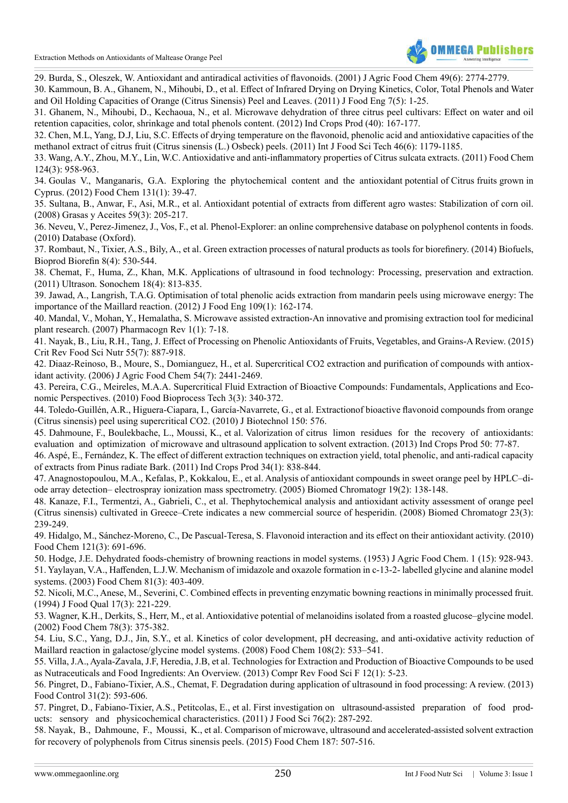

<span id="page-11-0"></span>29. Burda, S., Oleszek, W. [Antioxidant](http://www.ncbi.nlm.nih.gov/pubmed/11409965) and antiradical activities of flavonoids. (2001) J Agric Food Chem 49(6): 2774-2779.

<span id="page-11-1"></span>30. [Kammoun,](http://www.degruyter.com/view/j/ijfe.2011.7.issue-5/1556-3758.2222/1556-3758.2222.xml) B. A., Ghanem, N., Mihoubi, D., et al. Effect of Infrared Drying on Drying Kinetics, Color, Total Phenols and Water and Oil Holding [Capacities](http://www.degruyter.com/view/j/ijfe.2011.7.issue-5/1556-3758.2222/1556-3758.2222.xml) of Orange (Citrus Sinensis) Peel and Leaves. (2011) J Food Eng 7(5): 1-25.

<span id="page-11-2"></span>31. Ghanem, N., Mihoubi, D., Kechaoua, N., et al. Microwave [dehydration](http://www.sciencedirect.com/science/article/pii/S0926669012001471) of three citrus peel cultivars: Effect on water and oil retention [capacities,](http://www.sciencedirect.com/science/article/pii/S0926669012001471) color, shrinkage and total phenols content. (2012) Ind Crops Prod (40): 167-177.

<span id="page-11-3"></span>32. Chen, M.L, Yang, D.J, Liu, S.C. Effects of drying temperature on the flavonoid, phenolic acid and [antioxidative](https://www.researchgate.net/publication/229954438_Effects_of_drying_temperature_on_the_flavonoid_phenolic_acid_and_antioxidative_capacities_of_the_methanol_extract_of_citrus_fruit_Citrus_sinensis_L_Osbeck_peels) capacities of the methanol extract of citrus fruit (Citrus sinensis (L.) Osbeck) peels. (2011) Int J Food Sci Tech 46(6): [1179-1185.](https://www.researchgate.net/publication/229954438_Effects_of_drying_temperature_on_the_flavonoid_phenolic_acid_and_antioxidative_capacities_of_the_methanol_extract_of_citrus_fruit_Citrus_sinensis_L_Osbeck_peels)

<span id="page-11-4"></span>33. Wang, A.Y., Zhou, M.Y., Lin, W.C. Antioxidative and [anti-inflammatory](http://www.sciencedirect.com/science/article/pii/S0308814610008757) properties of Citrus sulcata extracts. (2011) Food Chem 124(3): [958-963.](http://www.sciencedirect.com/science/article/pii/S0308814610008757)

<span id="page-11-5"></span>34. [Goulas V., Manganaris, G.A. Exploring the phytochemical content and the antioxidant](http://www.sciencedirect.com/science/article/pii/S0308814611011344) potential of Citrus fruits grown in [Cyprus.](http://www.sciencedirect.com/science/article/pii/S0308814611011344) (2012) Food Chem 131(1): 39-47.

<span id="page-11-6"></span>35. Sultana, B., Anwar, F., Asi, M.R., et al. Antioxidant potential of extracts from different agro wastes: [Stabilization](http://grasasyaceites.revistas.csic.es/index.php/grasasyaceites/article/viewArticle/510) of corn oil. (2008) Grasas y Aceites 59(3): [205-217.](http://grasasyaceites.revistas.csic.es/index.php/grasasyaceites/article/viewArticle/510)

<span id="page-11-7"></span>36. Neveu, V., Perez-Jimenez, J., Vos, F., et al. [Phenol-Explorer:](http://www.ncbi.nlm.nih.gov/pubmed/20428313) an online comprehensive database on polyphenol contents in foods. (2010) Database [\(Oxford\).](http://www.ncbi.nlm.nih.gov/pubmed/20428313)

<span id="page-11-8"></span>37. Rombaut, N., Tixier, A.S., Bily, A., et al. Green extraction processes of natural products as tools for [biorefinery.](http://prodinra.inra.fr/?locale=en#!ConsultNotice:269192) (2014) Biofuels, Bioprod Biorefin 8(4): [530-544.](http://prodinra.inra.fr/?locale=en#!ConsultNotice:269192)

38. Chemat, F., Huma, Z., Khan, M.K. [Applications](http://www.ncbi.nlm.nih.gov/pubmed/21216174) of ultrasound in food technology: Processing, preservation and extraction. (2011) Ultrason. [Sonochem](http://www.ncbi.nlm.nih.gov/pubmed/21216174) 18(4): 813-835.

<span id="page-11-9"></span>39. Jawad, A., Langrish, T.A.G. [Optimisation](http://www.sciencedirect.com/science/article/pii/S0260877411005115) of total phenolic acids extraction from mandarin peels using microwave energy: The [importance](http://www.sciencedirect.com/science/article/pii/S0260877411005115) of the Maillard reaction. (2012) J Food Eng 109(1): 162-174.

<span id="page-11-10"></span>40. Mandal, V., Mohan, Y., Hemalatha, S. Microwave assisted [extraction-An](http://wenku.baidu.com/view/290591e9aeaad1f346933fdb.html) innovative and promising extraction tool for medicinal plant research. (2007) [Pharmacogn](http://wenku.baidu.com/view/290591e9aeaad1f346933fdb.html) Rev 1(1): 7-18.

<span id="page-11-11"></span>41. Nayak, B., Liu, R.H., Tang, J. Effect of Processing on Phenolic [Antioxidants](http://www.ncbi.nlm.nih.gov/pubmed/24915381) of Fruits, Vegetables, and Grains-A Review. (2015) Crit Rev Food Sci Nutr 55(7): [887-918.](http://www.ncbi.nlm.nih.gov/pubmed/24915381)

<span id="page-11-12"></span>42. [Diaaz-Reinoso,](http://www.ncbi.nlm.nih.gov/pubmed/16569029) B., Moure, S., Domianguez, H., et al. Supercritical CO2 extraction and purification of compounds with antioxidant activity. (2006) J Agric Food Chem 54(7): [2441-2469.](http://www.ncbi.nlm.nih.gov/pubmed/16569029)

43. Pereira, C.G., Meireles, M.A.A. Supercritical Fluid Extraction of Bioactive Compounds: [Fundamentals,](http://link.springer.com/article/10.1007%2Fs11947-009-0263-2) Applications and Economic [Perspectives.](http://link.springer.com/article/10.1007%2Fs11947-009-0263-2) (2010) Food Bioprocess Tech 3(3): 340-372.

<span id="page-11-13"></span>44. Toledo-Guillén, A.R., Higuera-Ciapara, I., [García-Navarrete,](https://www.infona.pl/resource/bwmeta1.element.elsevier-f8900212-bdca-3741-a775-ffdd838f4b56) G., et al. Extractionof bioactive flavonoid compounds from orange (Citrus sinensis) peel using [supercritical](https://www.infona.pl/resource/bwmeta1.element.elsevier-f8900212-bdca-3741-a775-ffdd838f4b56) CO2. (2010) J Biotechnol 150: 576.

<span id="page-11-14"></span>45. Dahmoune, F., Boulekbache, L., Moussi, K., et al. Valorization of [citrus limon residues for the recovery of antioxidants:](http://www.sciencedirect.com/science/article/pii/S092666901300349X) [evaluation and optimization of](http://www.sciencedirect.com/science/article/pii/S092666901300349X) microwave and ultrasound application to solvent extraction. (2013) Ind Crops Prod 50: 77-87.

<span id="page-11-15"></span>46. Aspé, E., Fernández, K. The effect of different extraction techniques on extraction yield, total phenolic, and [anti-radical](http://www.sciencedirect.com/science/article/pii/S0926669011000434) capacity of extracts from Pinus radiate Bark. (2011) Ind Crops Prod 34(1): [838-844.](http://www.sciencedirect.com/science/article/pii/S0926669011000434)

<span id="page-11-16"></span>47. [Anagnostopoulou,](http://www.ncbi.nlm.nih.gov/pubmed/15515108) M.A., Kefalas, P., Kokkalou, E., et al. Analysis of antioxidant compounds in sweet orange peel by HPLC–diode array detection– electrospray ionization mass [spectrometry.](http://www.ncbi.nlm.nih.gov/pubmed/15515108) (2005) Biomed Chromatogr 19(2): 138-148.

<span id="page-11-17"></span>48. Kanaze, F.I., Termentzi, A., Gabrieli, C., et al. [Thephytochemical](http://www.ncbi.nlm.nih.gov/pubmed/18823075) analysis and antioxidant activity assessment of orange peel (Citrus sinensis) cultivated in [Greece–Crete](http://www.ncbi.nlm.nih.gov/pubmed/18823075) indicates a new commercial source of hesperidin. (2008) Biomed Chromatogr 23(3): [239-249.](http://www.ncbi.nlm.nih.gov/pubmed/18823075)

<span id="page-11-18"></span>49. Hidalgo, M., [Sánchez-Moreno,](https://www.researchgate.net/publication/223778969_Flavonoid-flavonoid_interaction_and_its_effect_on_their_antioxidant_activity) C., De Pascual-Teresa, S. Flavonoid interaction and its effect on their antioxidant activity. (2010) Food Chem 121(3): [691-696.](https://www.researchgate.net/publication/223778969_Flavonoid-flavonoid_interaction_and_its_effect_on_their_antioxidant_activity)

<span id="page-11-19"></span>50. Hodge, J.E. Dehydrated [foods-chemistry](http://pubs.acs.org/doi/abs/10.1021/jf60015a004) of browning reactions in model systems. (1953) J Agric Food Chem. 1 (15): 928-943. 51. Yaylayan, V.A., Haffenden, L.J.W. [Mechanism](http://www.sciencedirect.com/science/article/pii/S0308814602004703) of imidazole and oxazole formation in c-13-2- labelled glycine and alanine model systems. (2003) Food Chem 81(3): [403-409.](http://www.sciencedirect.com/science/article/pii/S0308814602004703)

<span id="page-11-20"></span>52. Nicoli, M.C., Anese, M., Severini, C. Combined effects in [preventing](http://onlinelibrary.wiley.com/doi/10.1111/j.1745-4557.1994.tb00145.x/abstract) enzymatic bowning reactions in minimally processed fruit. (1994) J Food Qual 17(3): [221-229.](http://onlinelibrary.wiley.com/doi/10.1111/j.1745-4557.1994.tb00145.x/abstract)

<span id="page-11-21"></span>53. Wagner, K.H., Derkits, S., Herr, M., et al. Antioxidative potential of melanoidins isolated from a roasted [glucose–glycine](http://www.sciencedirect.com/science/article/pii/S0308814602002005) model. (2002) Food Chem 78(3): [375-382.](http://www.sciencedirect.com/science/article/pii/S0308814602002005)

54. Liu, S.C., Yang, D.J., Jin, S.Y., et al. Kinetics of color development, pH decreasing, and [anti-oxidative](http://www.ncbi.nlm.nih.gov/pubmed/26059131) activity reduction of Maillard reaction in [galactose/glycine](http://www.ncbi.nlm.nih.gov/pubmed/26059131) model systems. (2008) Food Chem 108(2): 533–541.

<span id="page-11-22"></span>55. Villa, J.A., [Ayala-Zavala,](http://onlinelibrary.wiley.com/doi/10.1111/1541-4337.12005/abstract) J.F, Heredia, J.B, et al. Technologies for Extraction and Production of Bioactive Compounds to be used as [Nutraceuticals](http://onlinelibrary.wiley.com/doi/10.1111/1541-4337.12005/abstract) and Food Ingredients: An Overview. (2013) Compr Rev Food Sci F 12(1): 5-23.

<span id="page-11-23"></span>56. Pingret, D., [Fabiano-Tixier,](http://www.sciencedirect.com/science/article/pii/S095671351200641X) A.S., Chemat, F. Degradation during application of ultrasound in food processing: A review. (2013) Food Control 31(2): [593-606.](http://www.sciencedirect.com/science/article/pii/S095671351200641X)

57. Pingret, D., Fabiano-Tixier, A.S., Petitcolas, E., et al. First investigation [on ultrasound-assisted preparation of food prod](http://www.ncbi.nlm.nih.gov/pubmed/21535748)[ucts: sensory and physicochemical](http://www.ncbi.nlm.nih.gov/pubmed/21535748) characteristics. (2011) J Food Sci 76(2): 287-292.

58. [Nayak, B., Dahmoune, F., Moussi, K.,](http://www.ncbi.nlm.nih.gov/pubmed/25977057) et al. Comparison of microwave, ultrasound and accelerated-assisted solvent extraction for recovery of [polyphenols](http://www.ncbi.nlm.nih.gov/pubmed/25977057) from Citrus sinensis peels. (2015) Food Chem 187: 507-516.